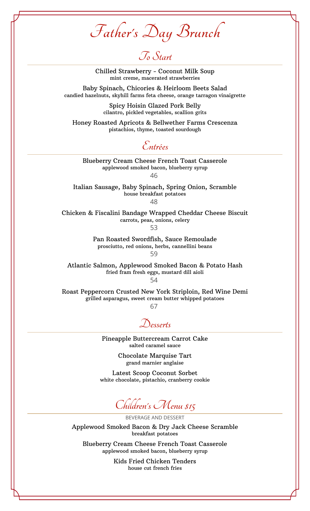**Father's Day Brunch**

## **To Start**

Chilled Strawberry - Coconut Milk Soup mint creme, macerated strawberries

Baby Spinach, Chicories & Heirloom Beets Salad candied hazelnuts, skyhill farms feta cheese, orange tarragon vinaigrette

> Spicy Hoisin Glazed Pork Belly cilantro, pickled vegetables, scallion grits

Honey Roasted Apricots & Bellwether Farms Crescenza pistachios, thyme, toasted sourdough

**Entrées**

Blueberry Cream Cheese French Toast Casserole applewood smoked bacon, blueberry syrup 46

Italian Sausage, Baby Spinach, Spring Onion, Scramble house breakfast potatoes

48

Chicken & Fiscalini Bandage Wrapped Cheddar Cheese Biscuit carrots, peas, onions, celery 53

> Pan Roasted Swordfish, Sauce Remoulade prosciutto, red onions, herbs, cannellini beans

59

Atlantic Salmon, Applewood Smoked Bacon & Potato Hash fried fram fresh eggs, mustard dill aioli 54

Roast Peppercorn Crusted New York Striploin, Red Wine Demi grilled asparagus, sweet cream butter whipped potatoes

67

**Desserts**

Pineapple Buttercream Carrot Cake salted caramel sauce

> Chocolate Marquise Tart grand marnier anglaise

Latest Scoop Coconut Sorbet white chocolate, pistachio, cranberry cookie

**Children's Menu \$15**

BEVERAGE AND DESSERT

Applewood Smoked Bacon & Dry Jack Cheese Scramble breakfast potatoes

Blueberry Cream Cheese French Toast Casserole applewood smoked bacon, blueberry syrup

> Kids Fried Chicken Tenders house cut french fries